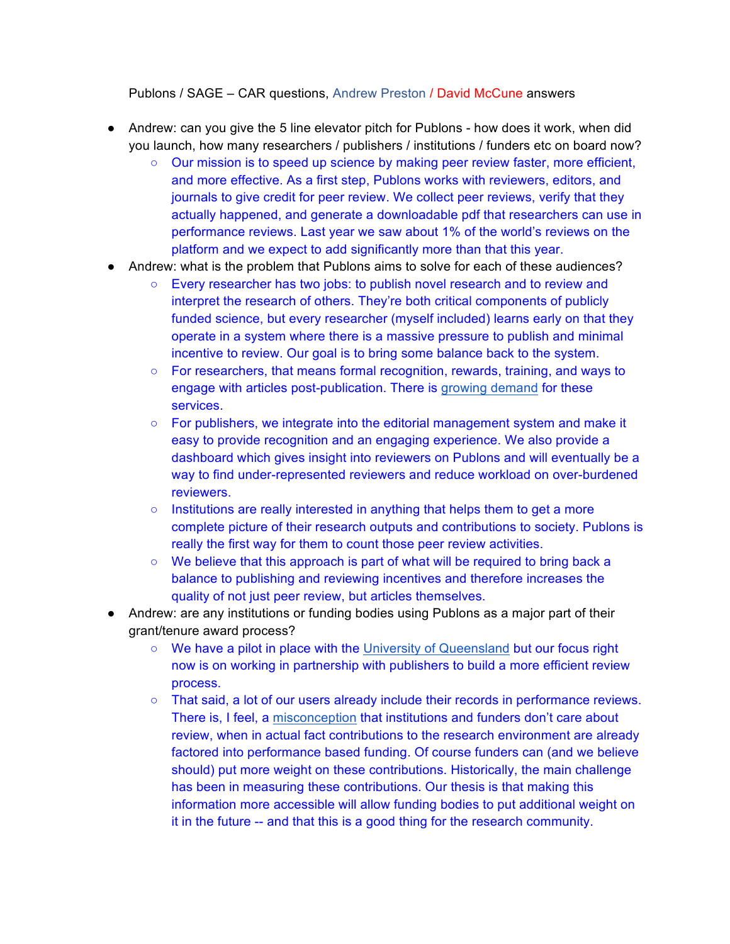Publons / SAGE – CAR questions, Andrew Preston / David McCune answers

- Andrew: can you give the 5 line elevator pitch for Publons how does it work, when did you launch, how many researchers / publishers / institutions / funders etc on board now?
	- Our mission is to speed up science by making peer review faster, more efficient, and more effective. As a first step, Publons works with reviewers, editors, and journals to give credit for peer review. We collect peer reviews, verify that they actually happened, and generate a downloadable pdf that researchers can use in performance reviews. Last year we saw about 1% of the world's reviews on the platform and we expect to add significantly more than that this year.
- Andrew: what is the problem that Publons aims to solve for each of these audiences?
	- Every researcher has two jobs: to publish novel research and to review and interpret the research of others. They're both critical components of publicly funded science, but every researcher (myself included) learns early on that they operate in a system where there is a massive pressure to publish and minimal incentive to review. Our goal is to bring some balance back to the system.
	- For researchers, that means formal recognition, rewards, training, and ways to engage with articles post-publication. There is growing demand for these services.
	- For publishers, we integrate into the editorial management system and make it easy to provide recognition and an engaging experience. We also provide a dashboard which gives insight into reviewers on Publons and will eventually be a way to find under-represented reviewers and reduce workload on over-burdened reviewers.
	- $\circ$  Institutions are really interested in anything that helps them to get a more complete picture of their research outputs and contributions to society. Publons is really the first way for them to count those peer review activities.
	- We believe that this approach is part of what will be required to bring back a balance to publishing and reviewing incentives and therefore increases the quality of not just peer review, but articles themselves.
- Andrew: are any institutions or funding bodies using Publons as a major part of their grant/tenure award process?
	- We have a pilot in place with the University of Queensland but our focus right now is on working in partnership with publishers to build a more efficient review process.
	- That said, a lot of our users already include their records in performance reviews. There is, I feel, a misconception that institutions and funders don't care about review, when in actual fact contributions to the research environment are already factored into performance based funding. Of course funders can (and we believe should) put more weight on these contributions. Historically, the main challenge has been in measuring these contributions. Our thesis is that making this information more accessible will allow funding bodies to put additional weight on it in the future -- and that this is a good thing for the research community.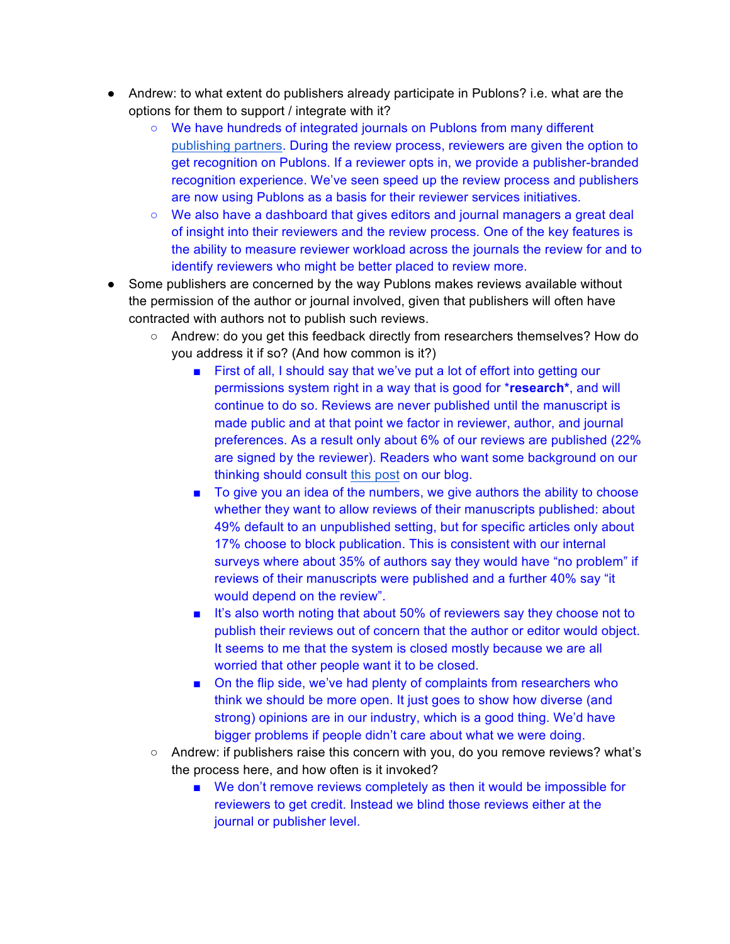- Andrew: to what extent do publishers already participate in Publons? i.e. what are the options for them to support / integrate with it?
	- We have hundreds of integrated journals on Publons from many different publishing partners. During the review process, reviewers are given the option to get recognition on Publons. If a reviewer opts in, we provide a publisher-branded recognition experience. We've seen speed up the review process and publishers are now using Publons as a basis for their reviewer services initiatives.
	- We also have a dashboard that gives editors and journal managers a great deal of insight into their reviewers and the review process. One of the key features is the ability to measure reviewer workload across the journals the review for and to identify reviewers who might be better placed to review more.
- Some publishers are concerned by the way Publons makes reviews available without the permission of the author or journal involved, given that publishers will often have contracted with authors not to publish such reviews.
	- Andrew: do you get this feedback directly from researchers themselves? How do you address it if so? (And how common is it?)
		- First of all, I should say that we've put a lot of effort into getting our permissions system right in a way that is good for \***research\***, and will continue to do so. Reviews are never published until the manuscript is made public and at that point we factor in reviewer, author, and journal preferences. As a result only about 6% of our reviews are published (22% are signed by the reviewer). Readers who want some background on our thinking should consult this post on our blog.
		- To give you an idea of the numbers, we give authors the ability to choose whether they want to allow reviews of their manuscripts published: about 49% default to an unpublished setting, but for specific articles only about 17% choose to block publication. This is consistent with our internal surveys where about 35% of authors say they would have "no problem" if reviews of their manuscripts were published and a further 40% say "it would depend on the review".
		- It's also worth noting that about 50% of reviewers say they choose not to publish their reviews out of concern that the author or editor would object. It seems to me that the system is closed mostly because we are all worried that other people want it to be closed.
		- On the flip side, we've had plenty of complaints from researchers who think we should be more open. It just goes to show how diverse (and strong) opinions are in our industry, which is a good thing. We'd have bigger problems if people didn't care about what we were doing.
	- Andrew: if publishers raise this concern with you, do you remove reviews? what's the process here, and how often is it invoked?
		- We don't remove reviews completely as then it would be impossible for reviewers to get credit. Instead we blind those reviews either at the journal or publisher level.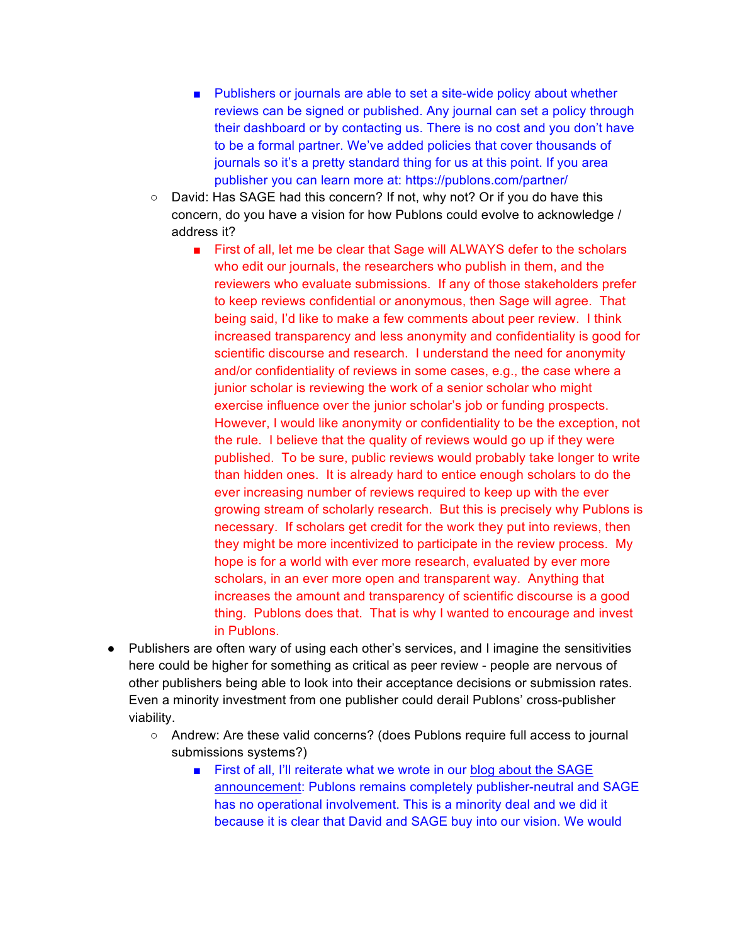- Publishers or journals are able to set a site-wide policy about whether reviews can be signed or published. Any journal can set a policy through their dashboard or by contacting us. There is no cost and you don't have to be a formal partner. We've added policies that cover thousands of journals so it's a pretty standard thing for us at this point. If you area publisher you can learn more at: https://publons.com/partner/
- David: Has SAGE had this concern? If not, why not? Or if you do have this concern, do you have a vision for how Publons could evolve to acknowledge / address it?
	- First of all, let me be clear that Sage will ALWAYS defer to the scholars who edit our journals, the researchers who publish in them, and the reviewers who evaluate submissions. If any of those stakeholders prefer to keep reviews confidential or anonymous, then Sage will agree. That being said, I'd like to make a few comments about peer review. I think increased transparency and less anonymity and confidentiality is good for scientific discourse and research. I understand the need for anonymity and/or confidentiality of reviews in some cases, e.g., the case where a junior scholar is reviewing the work of a senior scholar who might exercise influence over the junior scholar's job or funding prospects. However, I would like anonymity or confidentiality to be the exception, not the rule. I believe that the quality of reviews would go up if they were published. To be sure, public reviews would probably take longer to write than hidden ones. It is already hard to entice enough scholars to do the ever increasing number of reviews required to keep up with the ever growing stream of scholarly research. But this is precisely why Publons is necessary. If scholars get credit for the work they put into reviews, then they might be more incentivized to participate in the review process. My hope is for a world with ever more research, evaluated by ever more scholars, in an ever more open and transparent way. Anything that increases the amount and transparency of scientific discourse is a good thing. Publons does that. That is why I wanted to encourage and invest in Publons.
- Publishers are often wary of using each other's services, and I imagine the sensitivities here could be higher for something as critical as peer review - people are nervous of other publishers being able to look into their acceptance decisions or submission rates. Even a minority investment from one publisher could derail Publons' cross-publisher viability.
	- Andrew: Are these valid concerns? (does Publons require full access to journal submissions systems?)
		- First of all, I'll reiterate what we wrote in our blog about the SAGE announcement: Publons remains completely publisher-neutral and SAGE has no operational involvement. This is a minority deal and we did it because it is clear that David and SAGE buy into our vision. We would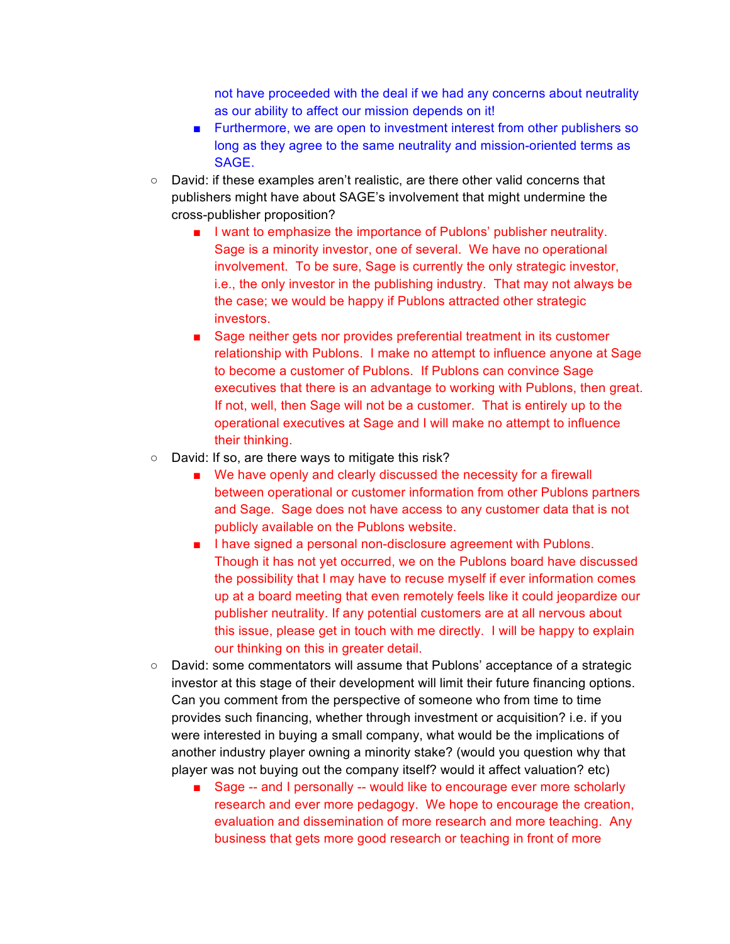not have proceeded with the deal if we had any concerns about neutrality as our ability to affect our mission depends on it!

- Furthermore, we are open to investment interest from other publishers so long as they agree to the same neutrality and mission-oriented terms as SAGE.
- David: if these examples aren't realistic, are there other valid concerns that publishers might have about SAGE's involvement that might undermine the cross-publisher proposition?
	- I want to emphasize the importance of Publons' publisher neutrality. Sage is a minority investor, one of several. We have no operational involvement. To be sure, Sage is currently the only strategic investor, i.e., the only investor in the publishing industry. That may not always be the case; we would be happy if Publons attracted other strategic investors.
	- Sage neither gets nor provides preferential treatment in its customer relationship with Publons. I make no attempt to influence anyone at Sage to become a customer of Publons. If Publons can convince Sage executives that there is an advantage to working with Publons, then great. If not, well, then Sage will not be a customer. That is entirely up to the operational executives at Sage and I will make no attempt to influence their thinking.
- David: If so, are there ways to mitigate this risk?
	- We have openly and clearly discussed the necessity for a firewall between operational or customer information from other Publons partners and Sage. Sage does not have access to any customer data that is not publicly available on the Publons website.
	- I have signed a personal non-disclosure agreement with Publons. Though it has not yet occurred, we on the Publons board have discussed the possibility that I may have to recuse myself if ever information comes up at a board meeting that even remotely feels like it could jeopardize our publisher neutrality. If any potential customers are at all nervous about this issue, please get in touch with me directly. I will be happy to explain our thinking on this in greater detail.
- David: some commentators will assume that Publons' acceptance of a strategic investor at this stage of their development will limit their future financing options. Can you comment from the perspective of someone who from time to time provides such financing, whether through investment or acquisition? i.e. if you were interested in buying a small company, what would be the implications of another industry player owning a minority stake? (would you question why that player was not buying out the company itself? would it affect valuation? etc)
	- Sage -- and I personally -- would like to encourage ever more scholarly research and ever more pedagogy. We hope to encourage the creation, evaluation and dissemination of more research and more teaching. Any business that gets more good research or teaching in front of more